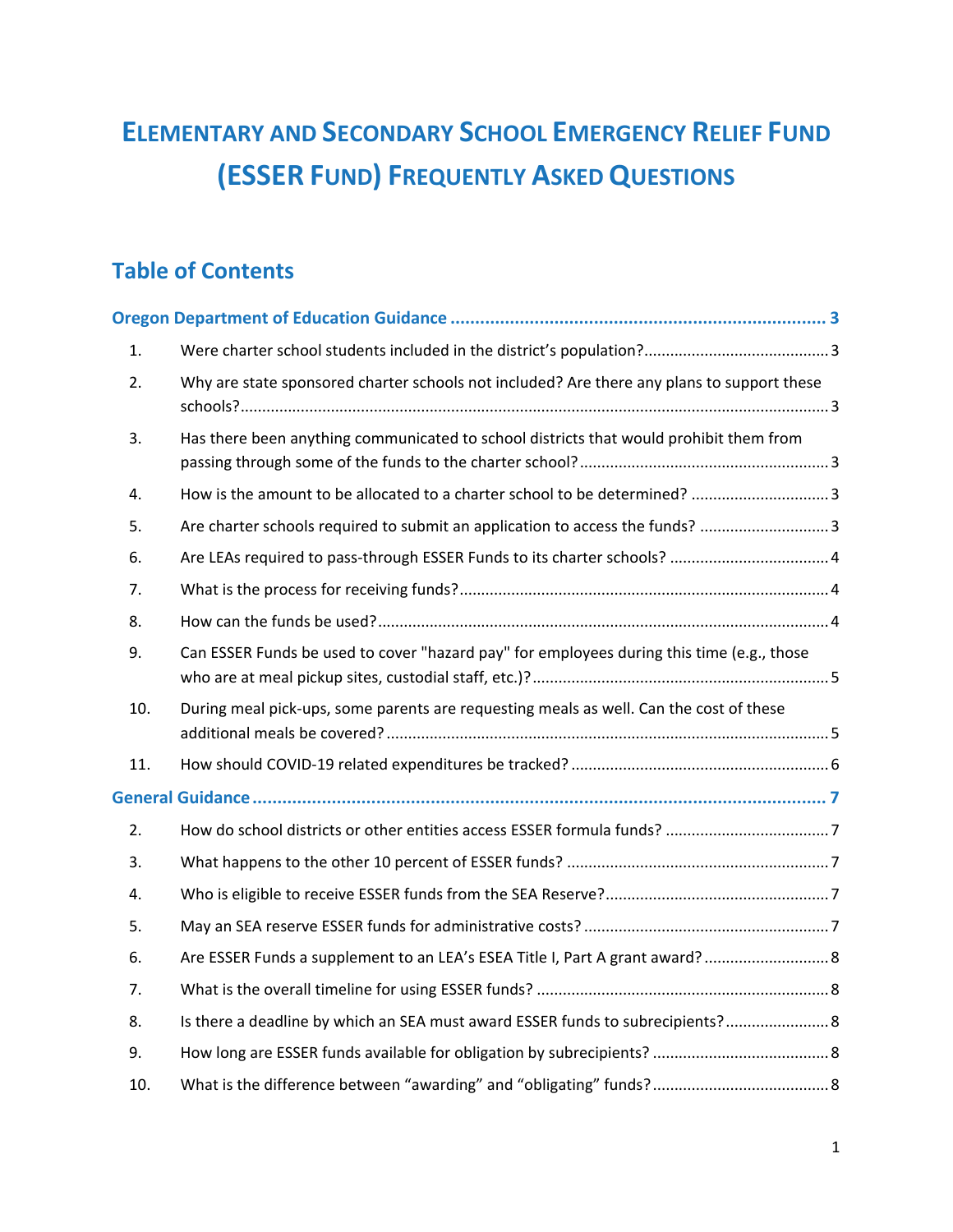# **ELEMENTARY AND SECONDARY SCHOOL EMERGENCY RELIEF FUND (ESSER FUND) FREQUENTLY ASKED QUESTIONS**

# **Table of Contents**

| 1.  |                                                                                            |  |
|-----|--------------------------------------------------------------------------------------------|--|
| 2.  | Why are state sponsored charter schools not included? Are there any plans to support these |  |
| 3.  | Has there been anything communicated to school districts that would prohibit them from     |  |
| 4.  | How is the amount to be allocated to a charter school to be determined? 3                  |  |
| 5.  | Are charter schools required to submit an application to access the funds? 3               |  |
| 6.  |                                                                                            |  |
| 7.  |                                                                                            |  |
| 8.  |                                                                                            |  |
| 9.  | Can ESSER Funds be used to cover "hazard pay" for employees during this time (e.g., those  |  |
| 10. | During meal pick-ups, some parents are requesting meals as well. Can the cost of these     |  |
| 11. |                                                                                            |  |
|     |                                                                                            |  |
| 2.  |                                                                                            |  |
| 3.  |                                                                                            |  |
| 4.  |                                                                                            |  |
| 5.  |                                                                                            |  |
| 6.  | Are ESSER Funds a supplement to an LEA's ESEA Title I, Part A grant award?  8              |  |
| 7.  |                                                                                            |  |
| 8.  | Is there a deadline by which an SEA must award ESSER funds to subrecipients? 8             |  |
| 9.  |                                                                                            |  |
| 10. |                                                                                            |  |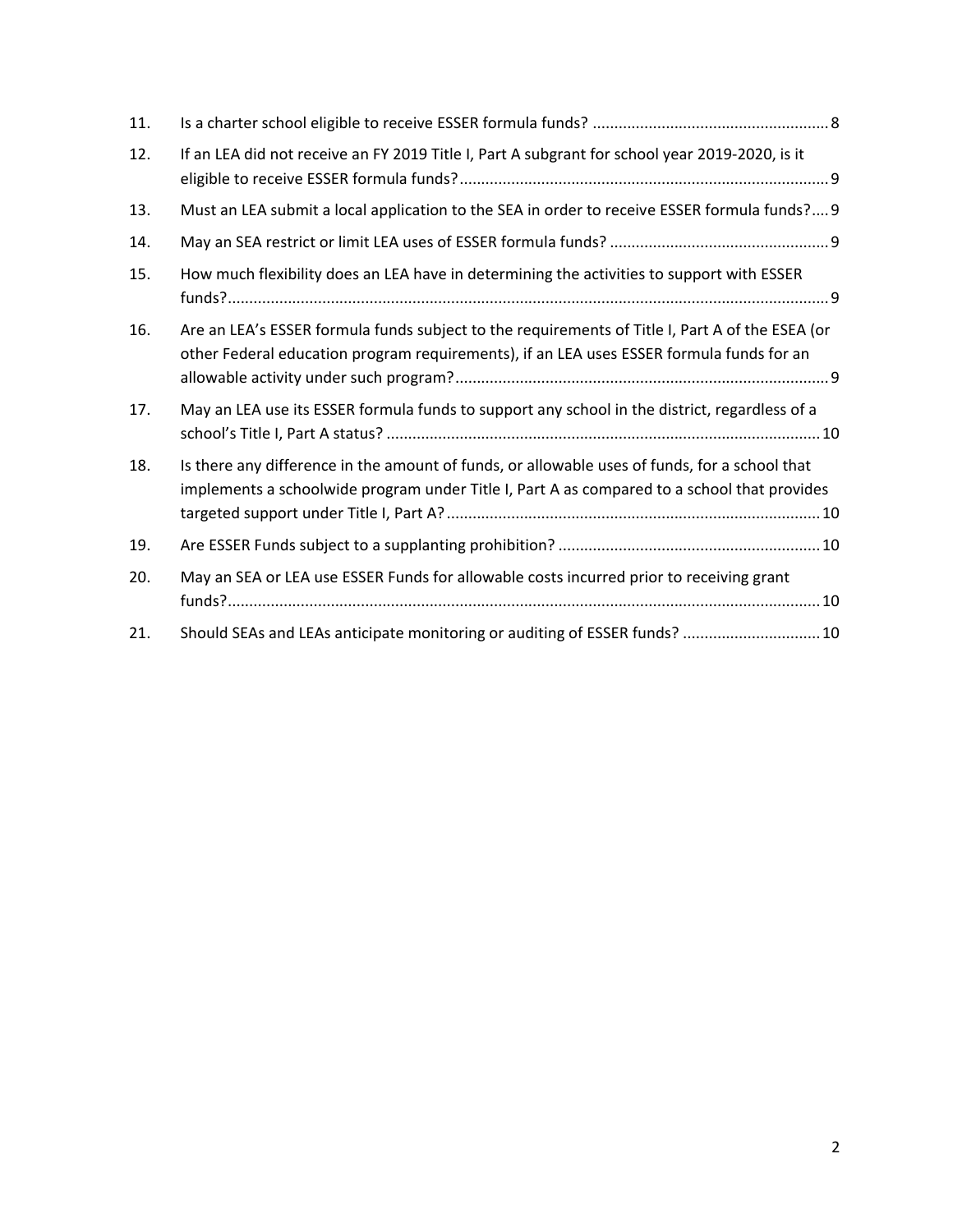| 11. |                                                                                                                                                                                              |
|-----|----------------------------------------------------------------------------------------------------------------------------------------------------------------------------------------------|
| 12. | If an LEA did not receive an FY 2019 Title I, Part A subgrant for school year 2019-2020, is it                                                                                               |
| 13. | Must an LEA submit a local application to the SEA in order to receive ESSER formula funds? 9                                                                                                 |
| 14. |                                                                                                                                                                                              |
| 15. | How much flexibility does an LEA have in determining the activities to support with ESSER                                                                                                    |
| 16. | Are an LEA's ESSER formula funds subject to the requirements of Title I, Part A of the ESEA (or<br>other Federal education program requirements), if an LEA uses ESSER formula funds for an  |
| 17. | May an LEA use its ESSER formula funds to support any school in the district, regardless of a                                                                                                |
| 18. | Is there any difference in the amount of funds, or allowable uses of funds, for a school that<br>implements a schoolwide program under Title I, Part A as compared to a school that provides |
| 19. |                                                                                                                                                                                              |
| 20. | May an SEA or LEA use ESSER Funds for allowable costs incurred prior to receiving grant                                                                                                      |
| 21. | Should SEAs and LEAs anticipate monitoring or auditing of ESSER funds?  10                                                                                                                   |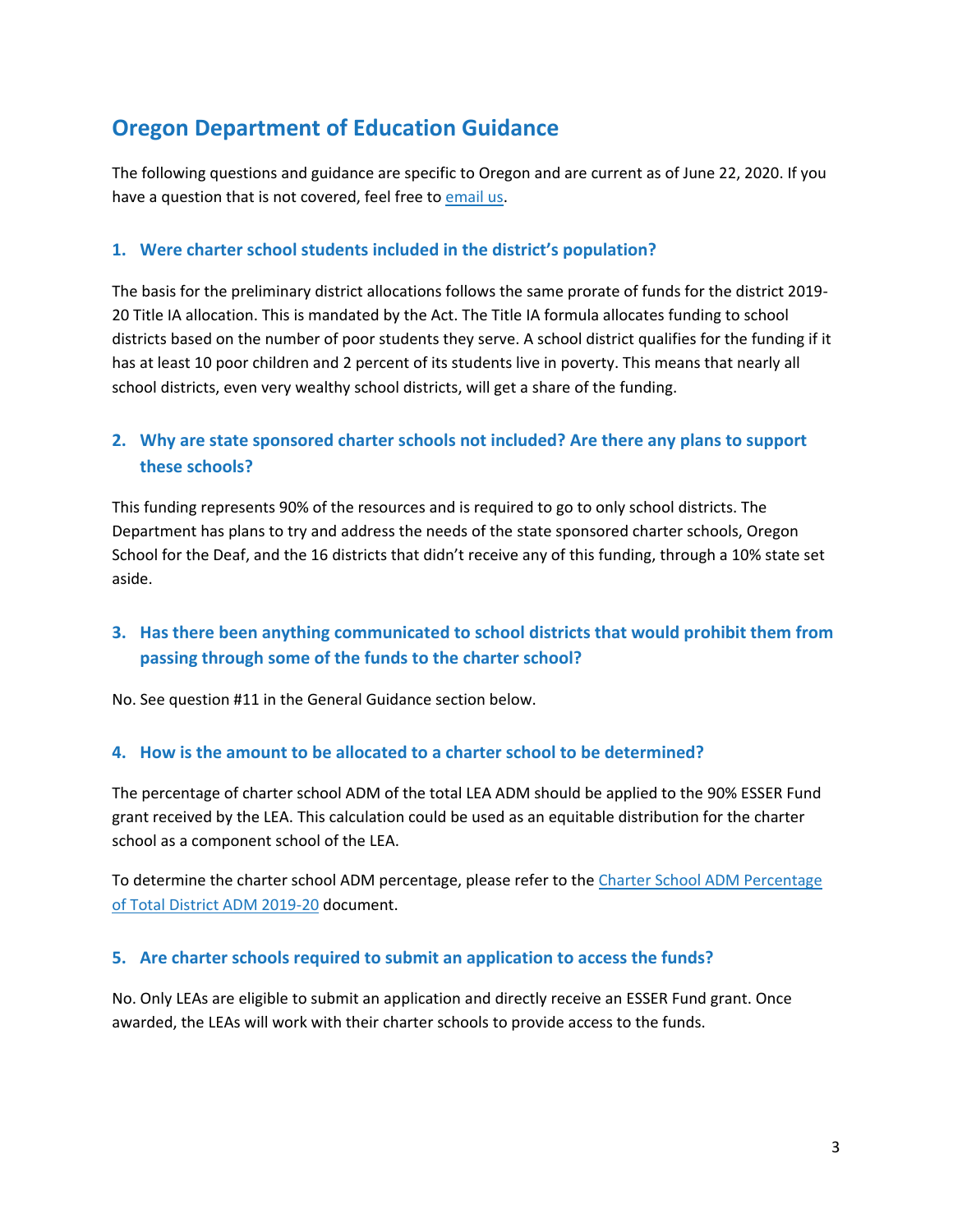# <span id="page-2-0"></span>**Oregon Department of Education Guidance**

The following questions and guidance are specific to Oregon and are current as of June 22, 2020. If you have a question that is not covered, feel free to [email us.](mailto:ODE.ESSER@ode.state.or.us)

#### <span id="page-2-1"></span>**1. Were charter school students included in the district's population?**

The basis for the preliminary district allocations follows the same prorate of funds for the district 2019- 20 Title IA allocation. This is mandated by the Act. The Title IA formula allocates funding to school districts based on the number of poor students they serve. A school district qualifies for the funding if it has at least 10 poor children and 2 percent of its students live in poverty. This means that nearly all school districts, even very wealthy school districts, will get a share of the funding.

# <span id="page-2-2"></span>**2. Why are state sponsored charter schools not included? Are there any plans to support these schools?**

This funding represents 90% of the resources and is required to go to only school districts. The Department has plans to try and address the needs of the state sponsored charter schools, Oregon School for the Deaf, and the 16 districts that didn't receive any of this funding, through a 10% state set aside.

# <span id="page-2-3"></span>**3. Has there been anything communicated to school districts that would prohibit them from passing through some of the funds to the charter school?**

No. See question #11 in the General Guidance section below.

#### <span id="page-2-4"></span>**4. How is the amount to be allocated to a charter school to be determined?**

The percentage of charter school ADM of the total LEA ADM should be applied to the 90% ESSER Fund grant received by the LEA. This calculation could be used as an equitable distribution for the charter school as a component school of the LEA.

To determine the charter school ADM percentage, please refer to th[e Charter School ADM Percentage](https://www.oregon.gov/ode/schools-and-districts/grants/Documents/Charter%20School%20ADM%20Percentages%202019-20%206.19.20.pdf)  [of Total District ADM 2019-20](https://www.oregon.gov/ode/schools-and-districts/grants/Documents/Charter%20School%20ADM%20Percentages%202019-20%206.19.20.pdf) document.

#### <span id="page-2-5"></span>**5. Are charter schools required to submit an application to access the funds?**

No. Only LEAs are eligible to submit an application and directly receive an ESSER Fund grant. Once awarded, the LEAs will work with their charter schools to provide access to the funds.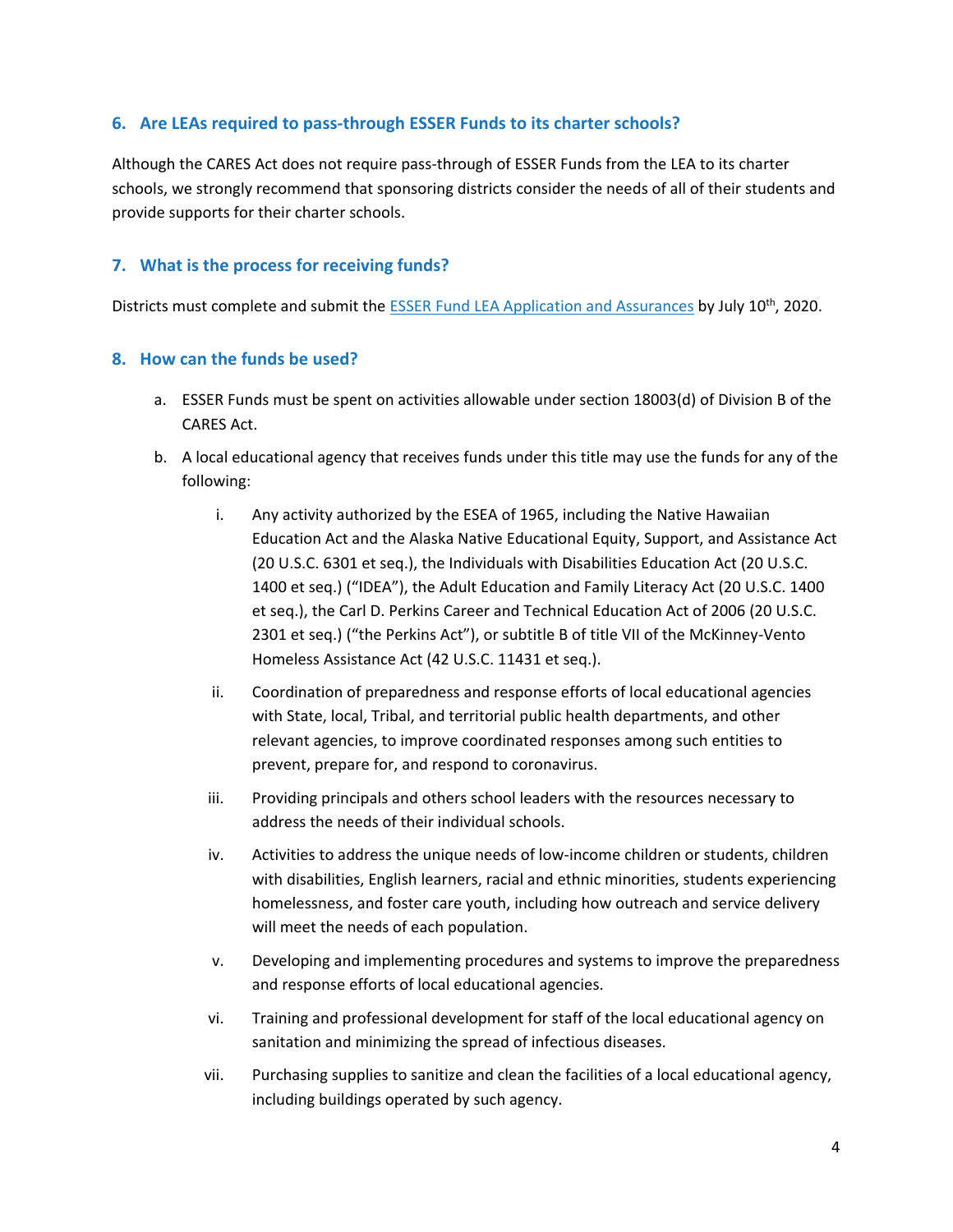#### <span id="page-3-0"></span>**6. Are LEAs required to pass-through ESSER Funds to its charter schools?**

Although the CARES Act does not require pass-through of ESSER Funds from the LEA to its charter schools, we strongly recommend that sponsoring districts consider the needs of all of their students and provide supports for their charter schools.

#### <span id="page-3-1"></span>**7. What is the process for receiving funds?**

Districts must complete and submit the [ESSER Fund LEA Application and Assurances](https://www.oregon.gov/ode/schools-and-districts/grants/Documents/ESSER%20Fund%20LEA%20Application%20and%20Assurances%206.19.20.pdf) by July 10<sup>th</sup>, 2020.

#### <span id="page-3-2"></span>**8. How can the funds be used?**

- a. ESSER Funds must be spent on activities allowable under section 18003(d) of Division B of the CARES Act.
- b. A local educational agency that receives funds under this title may use the funds for any of the following:
	- i. Any activity authorized by the ESEA of 1965, including the Native Hawaiian Education Act and the Alaska Native Educational Equity, Support, and Assistance Act (20 U.S.C. 6301 et seq.), the Individuals with Disabilities Education Act (20 U.S.C. 1400 et seq.) ("IDEA"), the Adult Education and Family Literacy Act (20 U.S.C. 1400 et seq.), the Carl D. Perkins Career and Technical Education Act of 2006 (20 U.S.C. 2301 et seq.) ("the Perkins Act"), or subtitle B of title VII of the McKinney-Vento Homeless Assistance Act (42 U.S.C. 11431 et seq.).
	- ii. Coordination of preparedness and response efforts of local educational agencies with State, local, Tribal, and territorial public health departments, and other relevant agencies, to improve coordinated responses among such entities to prevent, prepare for, and respond to coronavirus.
	- iii. Providing principals and others school leaders with the resources necessary to address the needs of their individual schools.
	- iv. Activities to address the unique needs of low-income children or students, children with disabilities, English learners, racial and ethnic minorities, students experiencing homelessness, and foster care youth, including how outreach and service delivery will meet the needs of each population.
	- v. Developing and implementing procedures and systems to improve the preparedness and response efforts of local educational agencies.
	- vi. Training and professional development for staff of the local educational agency on sanitation and minimizing the spread of infectious diseases.
	- vii. Purchasing supplies to sanitize and clean the facilities of a local educational agency, including buildings operated by such agency.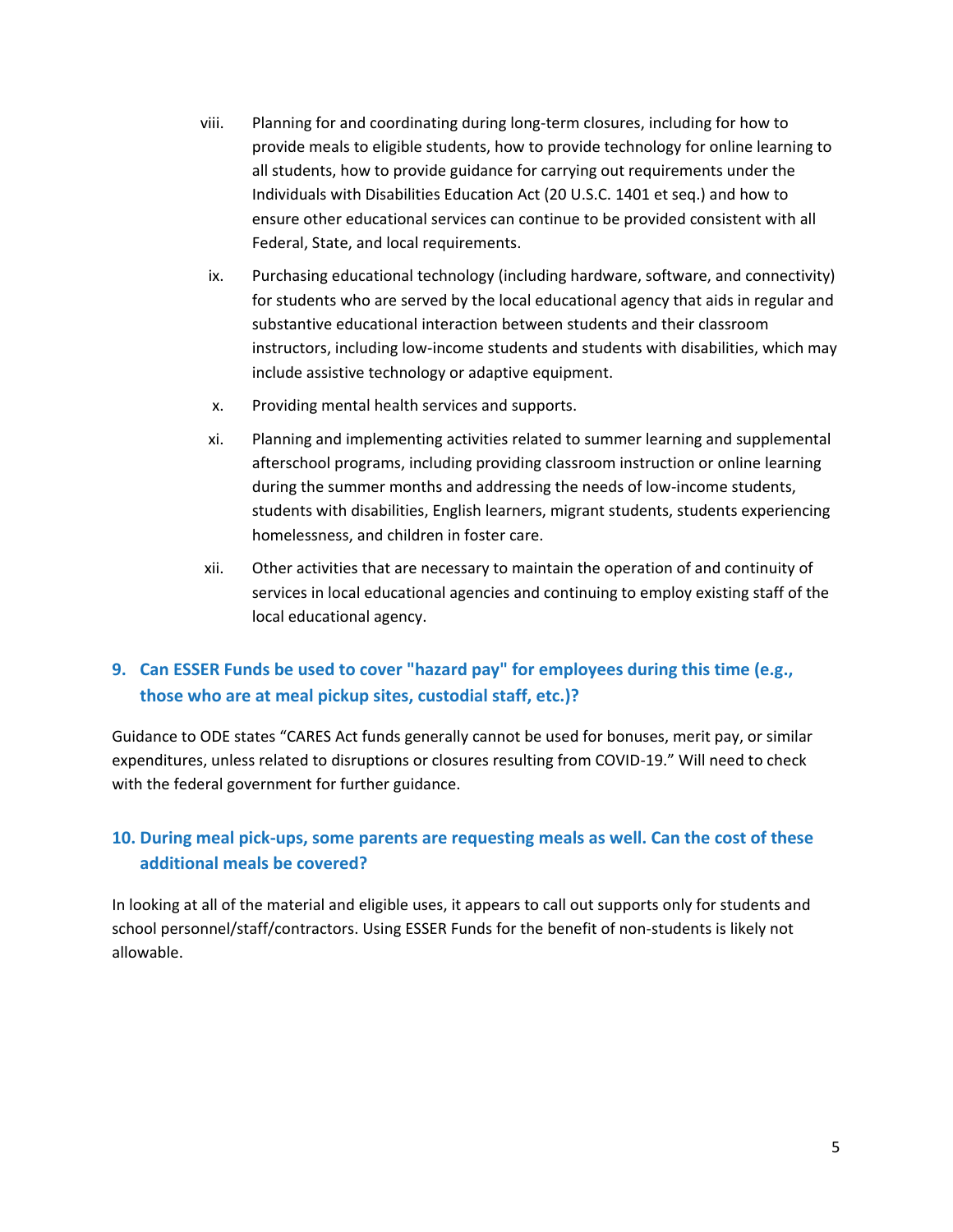- viii. Planning for and coordinating during long-term closures, including for how to provide meals to eligible students, how to provide technology for online learning to all students, how to provide guidance for carrying out requirements under the Individuals with Disabilities Education Act (20 U.S.C. 1401 et seq.) and how to ensure other educational services can continue to be provided consistent with all Federal, State, and local requirements.
- ix. Purchasing educational technology (including hardware, software, and connectivity) for students who are served by the local educational agency that aids in regular and substantive educational interaction between students and their classroom instructors, including low-income students and students with disabilities, which may include assistive technology or adaptive equipment.
- x. Providing mental health services and supports.
- xi. Planning and implementing activities related to summer learning and supplemental afterschool programs, including providing classroom instruction or online learning during the summer months and addressing the needs of low-income students, students with disabilities, English learners, migrant students, students experiencing homelessness, and children in foster care.
- xii. Other activities that are necessary to maintain the operation of and continuity of services in local educational agencies and continuing to employ existing staff of the local educational agency.

### <span id="page-4-0"></span>**9. Can ESSER Funds be used to cover "hazard pay" for employees during this time (e.g., those who are at meal pickup sites, custodial staff, etc.)?**

Guidance to ODE states "CARES Act funds generally cannot be used for bonuses, merit pay, or similar expenditures, unless related to disruptions or closures resulting from COVID-19." Will need to check with the federal government for further guidance.

# <span id="page-4-1"></span>**10. During meal pick-ups, some parents are requesting meals as well. Can the cost of these additional meals be covered?**

In looking at all of the material and eligible uses, it appears to call out supports only for students and school personnel/staff/contractors. Using ESSER Funds for the benefit of non-students is likely not allowable.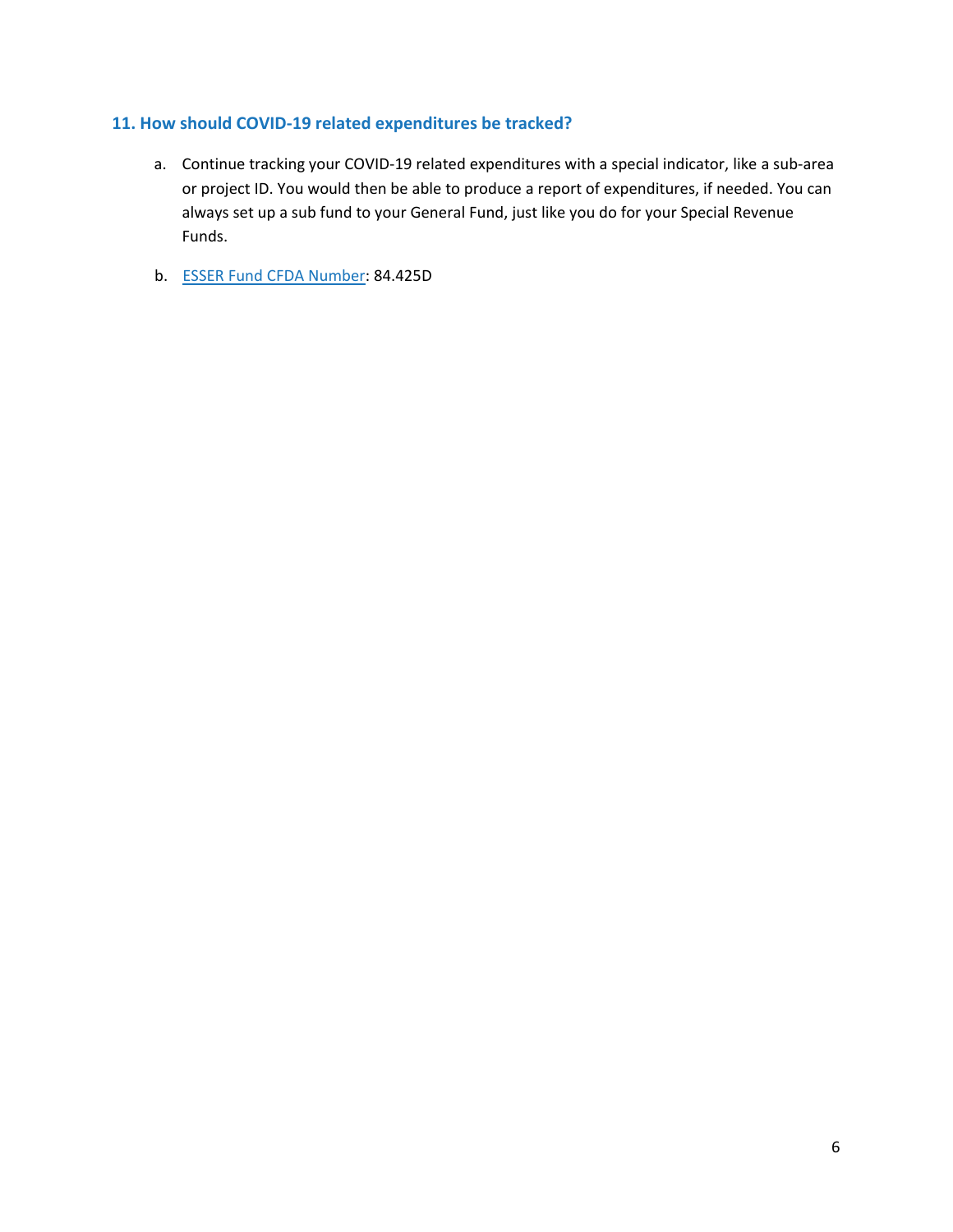#### <span id="page-5-0"></span>**11. How should COVID-19 related expenditures be tracked?**

- a. Continue tracking your COVID-19 related expenditures with a special indicator, like a sub-area or project ID. You would then be able to produce a report of expenditures, if needed. You can always set up a sub fund to your General Fund, just like you do for your Special Revenue Funds.
- b. [ESSER Fund CFDA Number:](https://oese.ed.gov/offices/education-stabilization-fund/elementary-secondary-school-emergency-relief-fund/) 84.425D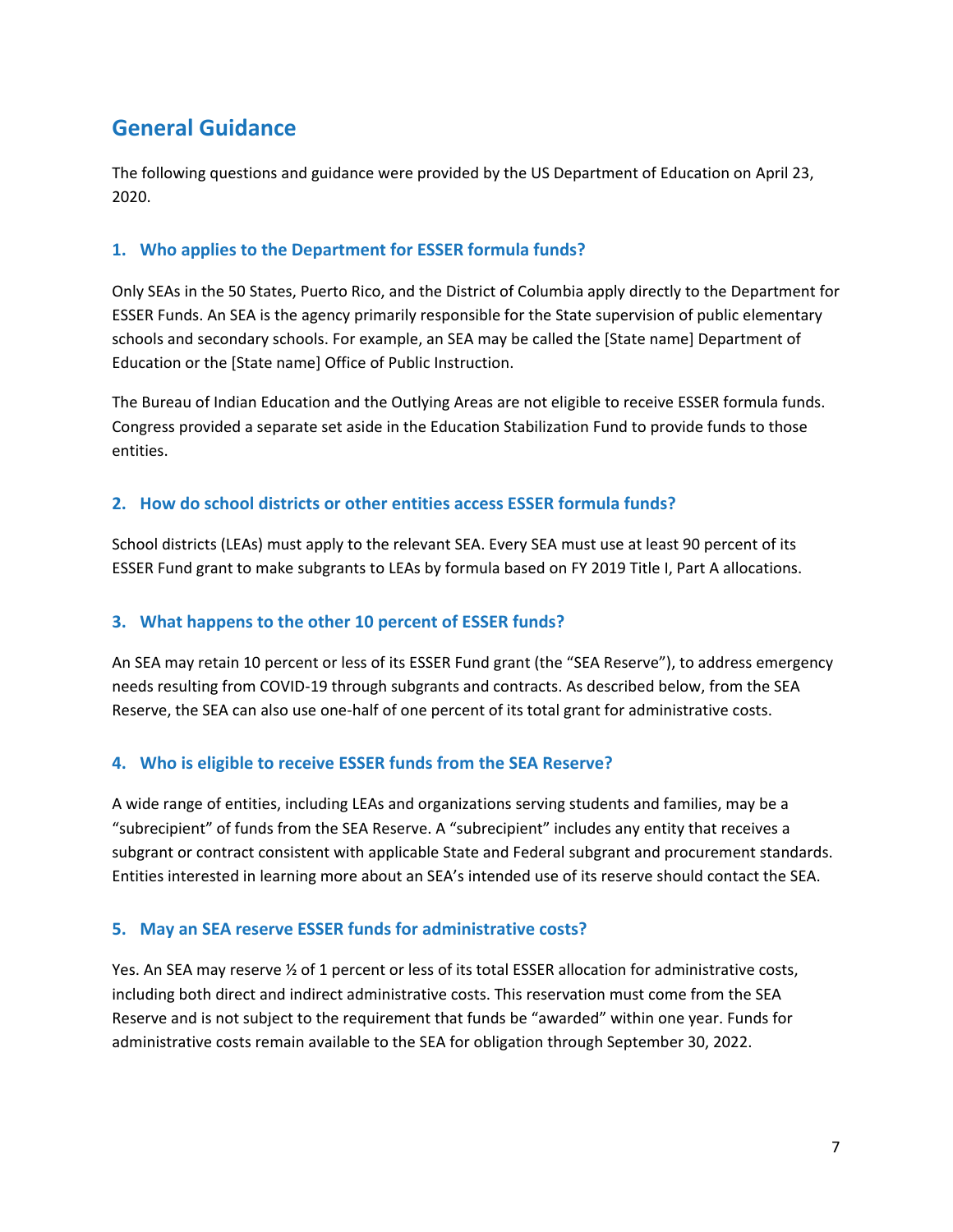# <span id="page-6-0"></span>**General Guidance**

The following questions and guidance were provided by the US Department of Education on April 23, 2020.

#### **1. Who applies to the Department for ESSER formula funds?**

Only SEAs in the 50 States, Puerto Rico, and the District of Columbia apply directly to the Department for ESSER Funds. An SEA is the agency primarily responsible for the State supervision of public elementary schools and secondary schools. For example, an SEA may be called the [State name] Department of Education or the [State name] Office of Public Instruction.

The Bureau of Indian Education and the Outlying Areas are not eligible to receive ESSER formula funds. Congress provided a separate set aside in the Education Stabilization Fund to provide funds to those entities.

#### <span id="page-6-1"></span>**2. How do school districts or other entities access ESSER formula funds?**

School districts (LEAs) must apply to the relevant SEA. Every SEA must use at least 90 percent of its ESSER Fund grant to make subgrants to LEAs by formula based on FY 2019 Title I, Part A allocations.

#### <span id="page-6-2"></span>**3. What happens to the other 10 percent of ESSER funds?**

An SEA may retain 10 percent or less of its ESSER Fund grant (the "SEA Reserve"), to address emergency needs resulting from COVID-19 through subgrants and contracts. As described below, from the SEA Reserve, the SEA can also use one-half of one percent of its total grant for administrative costs.

#### <span id="page-6-3"></span>**4. Who is eligible to receive ESSER funds from the SEA Reserve?**

A wide range of entities, including LEAs and organizations serving students and families, may be a "subrecipient" of funds from the SEA Reserve. A "subrecipient" includes any entity that receives a subgrant or contract consistent with applicable State and Federal subgrant and procurement standards. Entities interested in learning more about an SEA's intended use of its reserve should contact the SEA.

#### <span id="page-6-4"></span>**5. May an SEA reserve ESSER funds for administrative costs?**

Yes. An SEA may reserve  $\frac{1}{2}$  of 1 percent or less of its total ESSER allocation for administrative costs, including both direct and indirect administrative costs. This reservation must come from the SEA Reserve and is not subject to the requirement that funds be "awarded" within one year. Funds for administrative costs remain available to the SEA for obligation through September 30, 2022.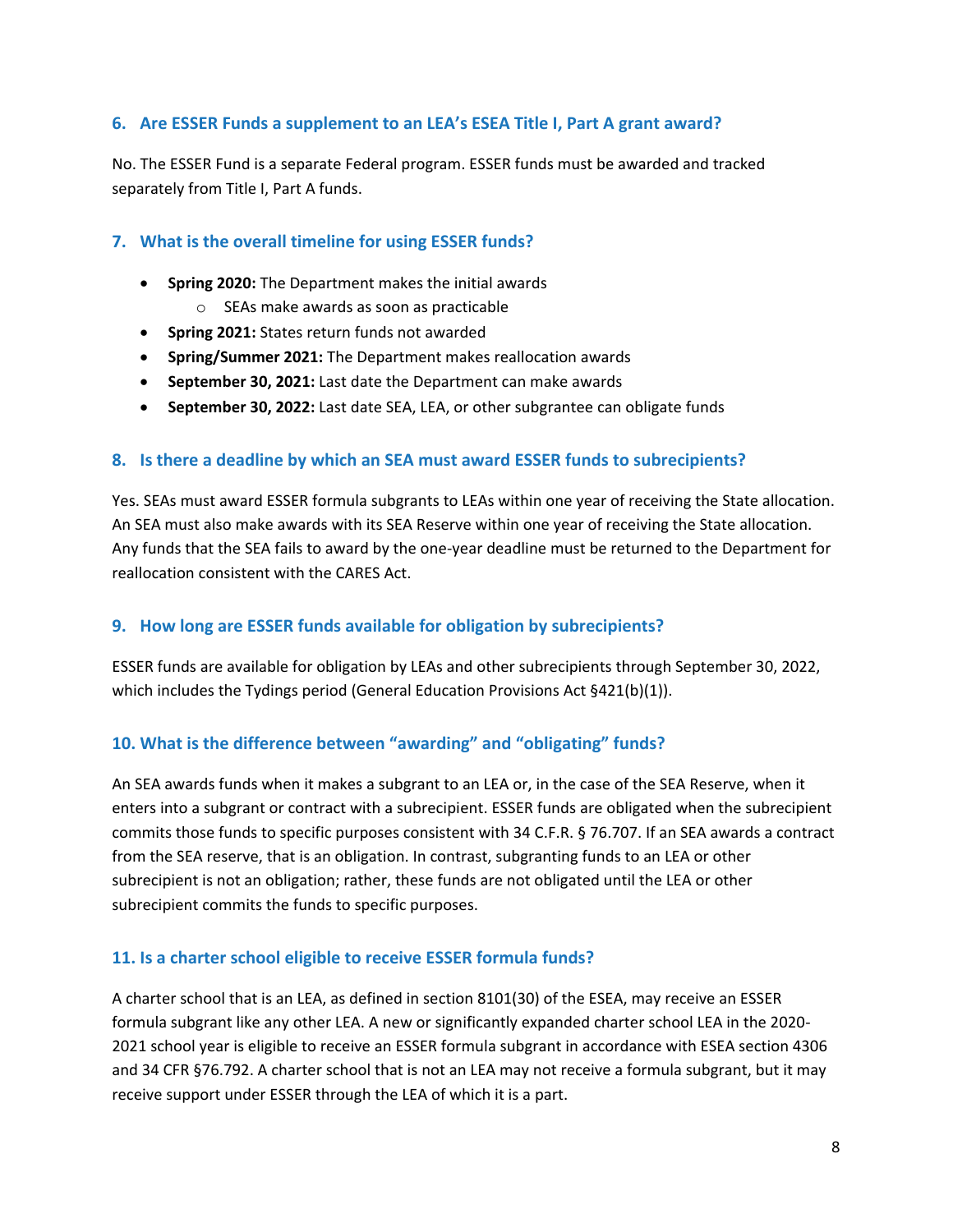#### <span id="page-7-0"></span>**6. Are ESSER Funds a supplement to an LEA's ESEA Title I, Part A grant award?**

No. The ESSER Fund is a separate Federal program. ESSER funds must be awarded and tracked separately from Title I, Part A funds.

#### <span id="page-7-1"></span>**7. What is the overall timeline for using ESSER funds?**

- **Spring 2020:** The Department makes the initial awards
	- o SEAs make awards as soon as practicable
- **Spring 2021:** States return funds not awarded
- **Spring/Summer 2021:** The Department makes reallocation awards
- **September 30, 2021:** Last date the Department can make awards
- **September 30, 2022:** Last date SEA, LEA, or other subgrantee can obligate funds

#### <span id="page-7-2"></span>**8. Is there a deadline by which an SEA must award ESSER funds to subrecipients?**

Yes. SEAs must award ESSER formula subgrants to LEAs within one year of receiving the State allocation. An SEA must also make awards with its SEA Reserve within one year of receiving the State allocation. Any funds that the SEA fails to award by the one-year deadline must be returned to the Department for reallocation consistent with the CARES Act.

#### <span id="page-7-3"></span>**9. How long are ESSER funds available for obligation by subrecipients?**

ESSER funds are available for obligation by LEAs and other subrecipients through September 30, 2022, which includes the Tydings period (General Education Provisions Act §421(b)(1)).

#### <span id="page-7-4"></span>**10. What is the difference between "awarding" and "obligating" funds?**

An SEA awards funds when it makes a subgrant to an LEA or, in the case of the SEA Reserve, when it enters into a subgrant or contract with a subrecipient. ESSER funds are obligated when the subrecipient commits those funds to specific purposes consistent with 34 C.F.R. § 76.707. If an SEA awards a contract from the SEA reserve, that is an obligation. In contrast, subgranting funds to an LEA or other subrecipient is not an obligation; rather, these funds are not obligated until the LEA or other subrecipient commits the funds to specific purposes.

#### <span id="page-7-5"></span>**11. Is a charter school eligible to receive ESSER formula funds?**

A charter school that is an LEA, as defined in section 8101(30) of the ESEA, may receive an ESSER formula subgrant like any other LEA. A new or significantly expanded charter school LEA in the 2020- 2021 school year is eligible to receive an ESSER formula subgrant in accordance with ESEA section 4306 and 34 CFR §76.792. A charter school that is not an LEA may not receive a formula subgrant, but it may receive support under ESSER through the LEA of which it is a part.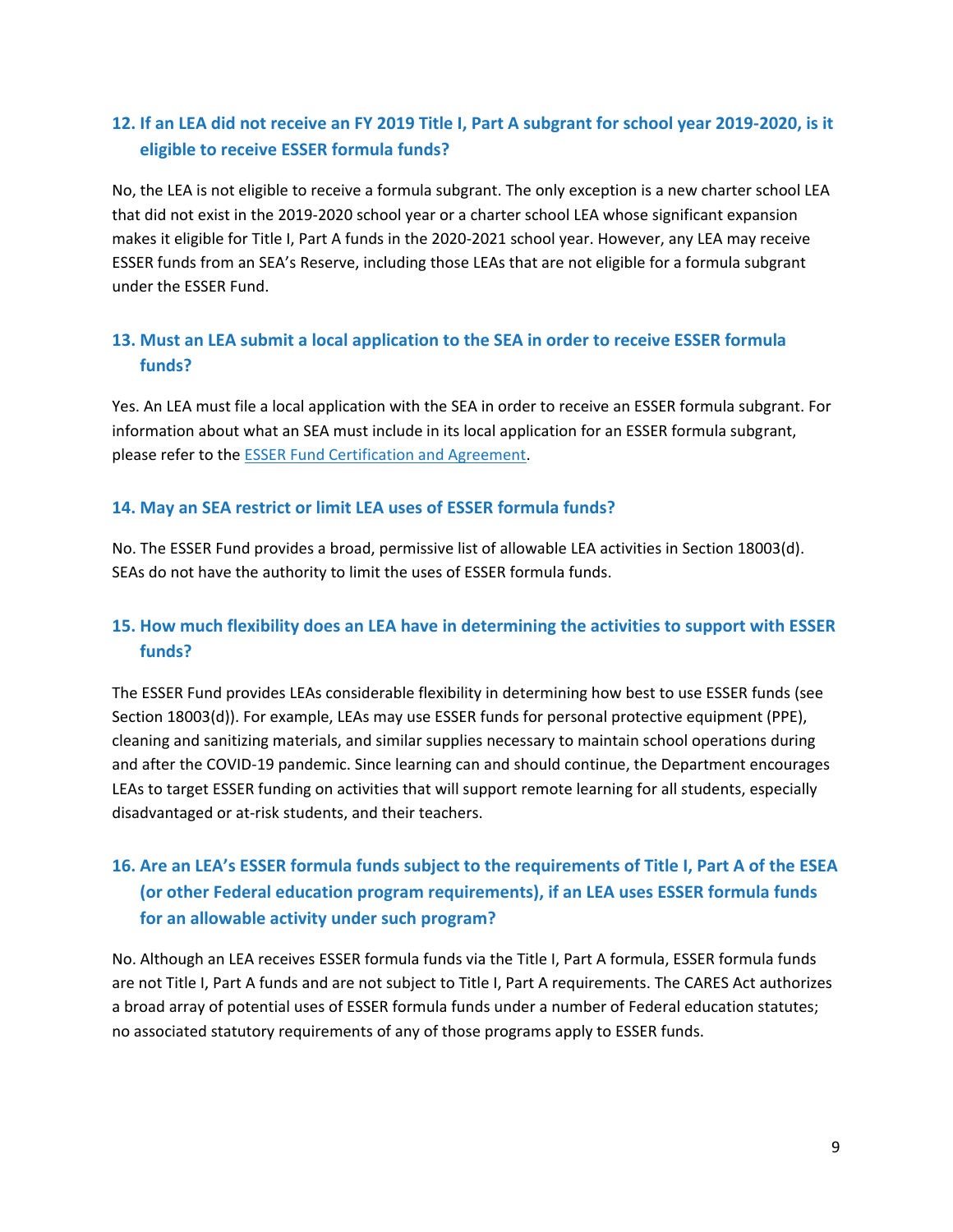# <span id="page-8-0"></span>**12. If an LEA did not receive an FY 2019 Title I, Part A subgrant for school year 2019-2020, is it eligible to receive ESSER formula funds?**

No, the LEA is not eligible to receive a formula subgrant. The only exception is a new charter school LEA that did not exist in the 2019-2020 school year or a charter school LEA whose significant expansion makes it eligible for Title I, Part A funds in the 2020-2021 school year. However, any LEA may receive ESSER funds from an SEA's Reserve, including those LEAs that are not eligible for a formula subgrant under the ESSER Fund.

# <span id="page-8-1"></span>**13. Must an LEA submit a local application to the SEA in order to receive ESSER formula funds?**

Yes. An LEA must file a local application with the SEA in order to receive an ESSER formula subgrant. For information about what an SEA must include in its local application for an ESSER formula subgrant, please refer to the [ESSER Fund Certification and Agreement.](https://www.oregon.gov/ode/schools-and-districts/grants/Documents/ESSER%20Fund%20Certification%20and%20Agreement%204.23.20.pdf)

#### <span id="page-8-2"></span>**14. May an SEA restrict or limit LEA uses of ESSER formula funds?**

No. The ESSER Fund provides a broad, permissive list of allowable LEA activities in Section 18003(d). SEAs do not have the authority to limit the uses of ESSER formula funds.

# <span id="page-8-3"></span>**15. How much flexibility does an LEA have in determining the activities to support with ESSER funds?**

The ESSER Fund provides LEAs considerable flexibility in determining how best to use ESSER funds (see Section 18003(d)). For example, LEAs may use ESSER funds for personal protective equipment (PPE), cleaning and sanitizing materials, and similar supplies necessary to maintain school operations during and after the COVID-19 pandemic. Since learning can and should continue, the Department encourages LEAs to target ESSER funding on activities that will support remote learning for all students, especially disadvantaged or at-risk students, and their teachers.

# <span id="page-8-4"></span>**16. Are an LEA's ESSER formula funds subject to the requirements of Title I, Part A of the ESEA (or other Federal education program requirements), if an LEA uses ESSER formula funds for an allowable activity under such program?**

No. Although an LEA receives ESSER formula funds via the Title I, Part A formula, ESSER formula funds are not Title I, Part A funds and are not subject to Title I, Part A requirements. The CARES Act authorizes a broad array of potential uses of ESSER formula funds under a number of Federal education statutes; no associated statutory requirements of any of those programs apply to ESSER funds.